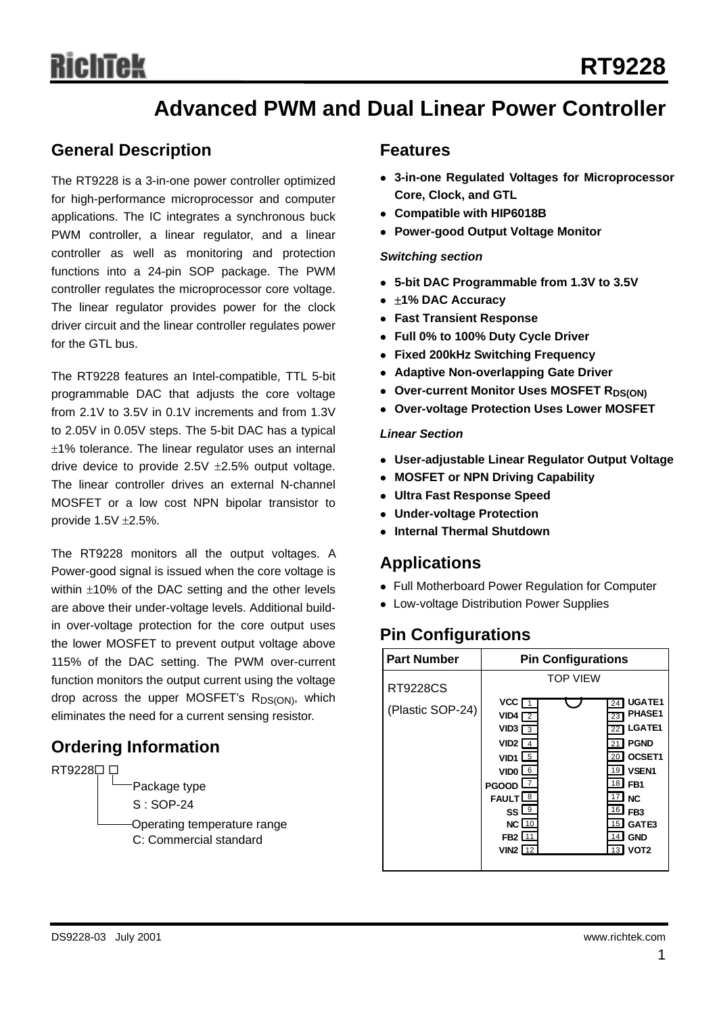## **Advanced PWM and Dual Linear Power Controller**

### **General Description**

RichTek

The RT9228 is a 3-in-one power controller optimized for high-performance microprocessor and computer applications. The IC integrates a synchronous buck PWM controller, a linear regulator, and a linear controller as well as monitoring and protection functions into a 24-pin SOP package. The PWM controller regulates the microprocessor core voltage. The linear regulator provides power for the clock driver circuit and the linear controller regulates power for the GTL bus.

The RT9228 features an Intel-compatible, TTL 5-bit programmable DAC that adjusts the core voltage from 2.1V to 3.5V in 0.1V increments and from 1.3V to 2.05V in 0.05V steps. The 5-bit DAC has a typical ±1% tolerance. The linear regulator uses an internal drive device to provide  $2.5V \pm 2.5\%$  output voltage. The linear controller drives an external N-channel MOSFET or a low cost NPN bipolar transistor to provide 1.5V ±2.5%.

The RT9228 monitors all the output voltages. A Power-good signal is issued when the core voltage is within  $\pm$ 10% of the DAC setting and the other levels are above their under-voltage levels. Additional buildin over-voltage protection for the core output uses the lower MOSFET to prevent output voltage above 115% of the DAC setting. The PWM over-current function monitors the output current using the voltage drop across the upper MOSFET's  $R_{DS(ON)}$ , which eliminates the need for a current sensing resistor.

## **Ordering Information**



### **Features**

- **3-in-one Regulated Voltages for Microprocessor Core, Clock, and GTL**
- z **Compatible with HIP6018B**
- **Power-good Output Voltage Monitor**

#### *Switching section*

- z **5-bit DAC Programmable from 1.3V to 3.5V**
- <sup>z</sup> ±**1% DAC Accuracy**
- **Fast Transient Response**
- z **Full 0% to 100% Duty Cycle Driver**
- z **Fixed 200kHz Switching Frequency**
- **Adaptive Non-overlapping Gate Driver**
- **Over-current Monitor Uses MOSFET RDS(ON)**
- **Over-voltage Protection Uses Lower MOSFET**

#### *Linear Section*

- **User-adjustable Linear Regulator Output Voltage**
- **MOSFET or NPN Driving Capability**
- **Ultra Fast Response Speed**
- z **Under-voltage Protection**
- **Internal Thermal Shutdown**

## **Applications**

- Full Motherboard Power Regulation for Computer
- Low-voltage Distribution Power Supplies

## **Pin Configurations**

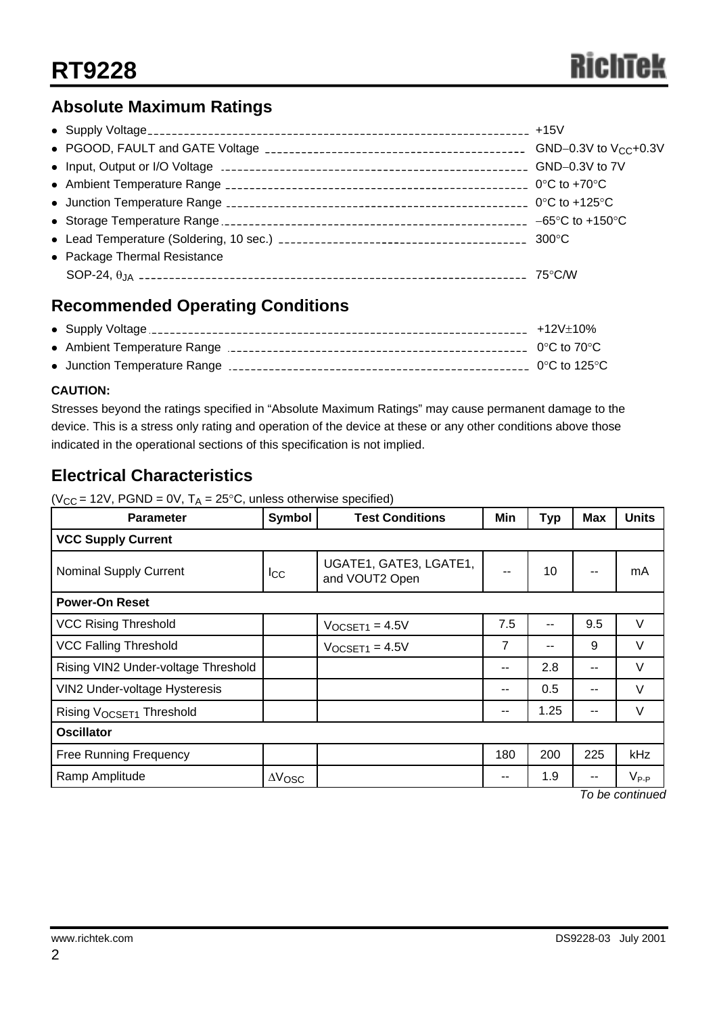## **Absolute Maximum Ratings**

| • Package Thermal Resistance |  |
|------------------------------|--|
|                              |  |

## **Recommended Operating Conditions**

#### **CAUTION:**

Stresses beyond the ratings specified in "Absolute Maximum Ratings" may cause permanent damage to the device. This is a stress only rating and operation of the device at these or any other conditions above those indicated in the operational sections of this specification is not implied.

## **Electrical Characteristics**

( $V_{CC}$  = 12V, PGND = 0V, T<sub>A</sub> = 25°C, unless otherwise specified)

| <b>Parameter</b>                    | Symbol         | <b>Test Conditions</b>                   |     | <b>Typ</b>               | <b>Max</b> | <b>Units</b> |  |  |
|-------------------------------------|----------------|------------------------------------------|-----|--------------------------|------------|--------------|--|--|
| <b>VCC Supply Current</b>           |                |                                          |     |                          |            |              |  |  |
| Nominal Supply Current              | Icc            | UGATE1, GATE3, LGATE1,<br>and VOUT2 Open |     | 10                       |            | mA           |  |  |
| <b>Power-On Reset</b>               |                |                                          |     |                          |            |              |  |  |
| <b>VCC Rising Threshold</b>         |                | $V_{OCSET1} = 4.5V$                      |     | --                       | 9.5        | $\vee$       |  |  |
| <b>VCC Falling Threshold</b>        |                | $V_{OCSET1} = 4.5V$                      |     | $\overline{\phantom{a}}$ | 9          | V            |  |  |
| Rising VIN2 Under-voltage Threshold |                |                                          | --  | 2.8                      | $- -$      | $\vee$       |  |  |
| VIN2 Under-voltage Hysteresis       |                |                                          | --  | 0.5                      |            | V            |  |  |
| Rising VOCSET1 Threshold            |                |                                          | --  | 1.25                     | --         | V            |  |  |
| <b>Oscillator</b>                   |                |                                          |     |                          |            |              |  |  |
| <b>Free Running Frequency</b>       |                |                                          | 180 | 200                      | 225        | <b>kHz</b>   |  |  |
| Ramp Amplitude                      | $\Delta V$ OSC |                                          | --  | 1.9                      | $- -$      | $V_{P-P}$    |  |  |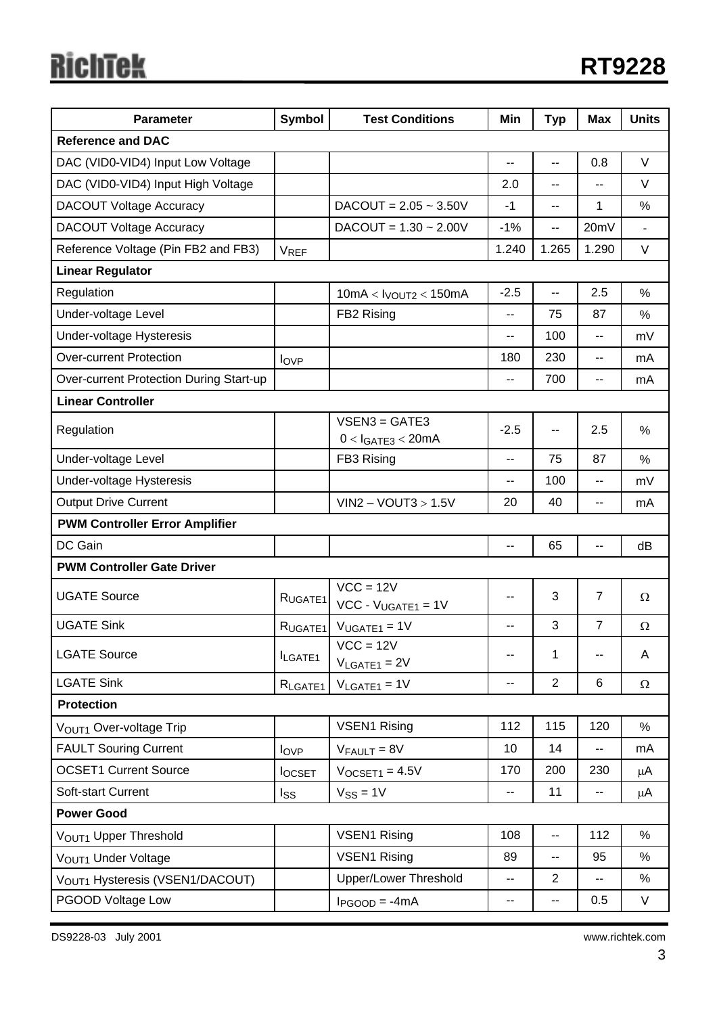# **RichTek**

| <b>Symbol</b><br><b>Parameter</b>           |                     | <b>Test Conditions</b>                  | Min    | <b>Typ</b>     | Max                      | <b>Units</b> |  |
|---------------------------------------------|---------------------|-----------------------------------------|--------|----------------|--------------------------|--------------|--|
| <b>Reference and DAC</b>                    |                     |                                         |        |                |                          |              |  |
| DAC (VID0-VID4) Input Low Voltage           |                     |                                         |        | $\overline{a}$ | 0.8                      | $\vee$       |  |
| DAC (VID0-VID4) Input High Voltage          |                     |                                         |        | --             | --                       | V            |  |
| <b>DACOUT Voltage Accuracy</b>              |                     | $DACOUT = 2.05 ~ 3.50V$                 | $-1$   | --             | 1                        | %            |  |
| <b>DACOUT Voltage Accuracy</b>              |                     | $DACOUT = 1.30 - 2.00V$                 | $-1%$  | --             | 20mV                     |              |  |
| Reference Voltage (Pin FB2 and FB3)         | VREF                |                                         | 1.240  | 1.265          | 1.290                    | $\vee$       |  |
| <b>Linear Regulator</b>                     |                     |                                         |        |                |                          |              |  |
| Regulation                                  |                     | $10mA < I$ <sub>VOUT2</sub> < 150mA     | $-2.5$ | --             | 2.5                      | %            |  |
| Under-voltage Level                         |                     | FB2 Rising                              | --     | 75             | 87                       | %            |  |
| Under-voltage Hysteresis                    |                     |                                         | --     | 100            | --                       | mV           |  |
| <b>Over-current Protection</b>              | $I_{OVP}$           |                                         | 180    | 230            | --                       | mA           |  |
| Over-current Protection During Start-up     |                     |                                         | --     | 700            | --                       | mA           |  |
| <b>Linear Controller</b>                    |                     |                                         |        |                |                          |              |  |
| Regulation                                  |                     | $VSEN3 = GATE3$<br>$0 < I$ GATE3 < 20mA | $-2.5$ | $-$            | 2.5                      | %            |  |
| Under-voltage Level                         |                     | FB3 Rising                              | $-$    | 75             | 87                       | %            |  |
| Under-voltage Hysteresis                    |                     |                                         | --     | 100            | --                       | mV           |  |
| <b>Output Drive Current</b>                 |                     | $VIN2 - VOUT3 > 1.5V$                   | 20     | 40             | --                       | mA           |  |
| <b>PWM Controller Error Amplifier</b>       |                     |                                         |        |                |                          |              |  |
| DC Gain                                     |                     |                                         | --     | 65             | --                       | dB           |  |
| <b>PWM Controller Gate Driver</b>           |                     |                                         |        |                |                          |              |  |
| <b>UGATE Source</b>                         | RUGATE1             | $VCC = 12V$<br>$VCC - VUGATE1 = 1V$     | --     | 3              | $\overline{7}$           | Ω            |  |
| <b>UGATE Sink</b>                           | RUGATE <sub>1</sub> | $VUGATE1 = 1V$                          | --     | 3              | $\overline{7}$           | Ω            |  |
| <b>LGATE Source</b>                         | ILGATE1             | $VCC = 12V$<br>$V_{LGATE1} = 2V$        | --     | 1              | --                       | Α            |  |
| <b>LGATE Sink</b>                           | RLGATE1             | $V_{LGATE1} = 1V$                       | --     | $\overline{2}$ | 6                        | $\Omega$     |  |
| <b>Protection</b>                           |                     |                                         |        |                |                          |              |  |
| V <sub>OUT1</sub> Over-voltage Trip         |                     | <b>VSEN1 Rising</b>                     | 112    | 115            | 120                      | %            |  |
| <b>FAULT Souring Current</b>                | $I_{OVP}$           | $V_{FAULT} = 8V$                        | 10     | 14             | --                       | mA           |  |
| <b>OCSET1 Current Source</b>                | <b>I</b> OCSET      | $V_{OCSET1} = 4.5V$                     | 170    | 200            | 230                      | μA           |  |
| Soft-start Current                          | Iss                 | $V_{SS} = 1V$                           |        | 11             | $\overline{\phantom{m}}$ | μA           |  |
| <b>Power Good</b>                           |                     |                                         |        |                |                          |              |  |
| VOUT1 Upper Threshold                       | <b>VSEN1 Rising</b> |                                         | 108    | --             | 112                      | %            |  |
| V <sub>OUT1</sub> Under Voltage             |                     | <b>VSEN1 Rising</b>                     |        | --             | 95                       | %            |  |
| V <sub>OUT1</sub> Hysteresis (VSEN1/DACOUT) |                     | <b>Upper/Lower Threshold</b>            | --     | $\overline{2}$ | --                       | %            |  |
| PGOOD Voltage Low                           | $I_{PGOOD} = -4mA$  |                                         | --     | --             | 0.5                      | V            |  |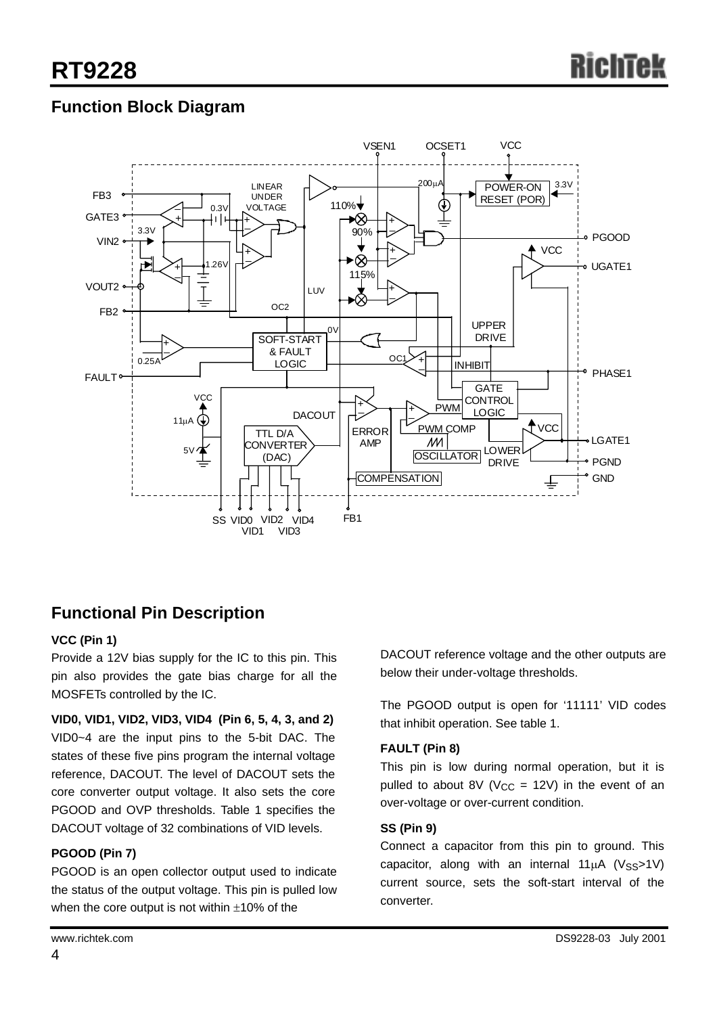## **Function Block Diagram**



## **Functional Pin Description**

#### **VCC (Pin 1)**

Provide a 12V bias supply for the IC to this pin. This pin also provides the gate bias charge for all the MOSFETs controlled by the IC.

**VID0, VID1, VID2, VID3, VID4 (Pin 6, 5, 4, 3, and 2)** VID0~4 are the input pins to the 5-bit DAC. The states of these five pins program the internal voltage reference, DACOUT. The level of DACOUT sets the core converter output voltage. It also sets the core PGOOD and OVP thresholds. Table 1 specifies the DACOUT voltage of 32 combinations of VID levels.

#### **PGOOD (Pin 7)**

PGOOD is an open collector output used to indicate the status of the output voltage. This pin is pulled low when the core output is not within  $\pm 10\%$  of the

DACOUT reference voltage and the other outputs are below their under-voltage thresholds.

The PGOOD output is open for '11111' VID codes that inhibit operation. See table 1.

#### **FAULT (Pin 8)**

This pin is low during normal operation, but it is pulled to about 8V ( $V_{CC}$  = 12V) in the event of an over-voltage or over-current condition.

#### **SS (Pin 9)**

Connect a capacitor from this pin to ground. This capacitor, along with an internal  $11\mu$ A (V<sub>SS</sub>>1V) current source, sets the soft-start interval of the converter.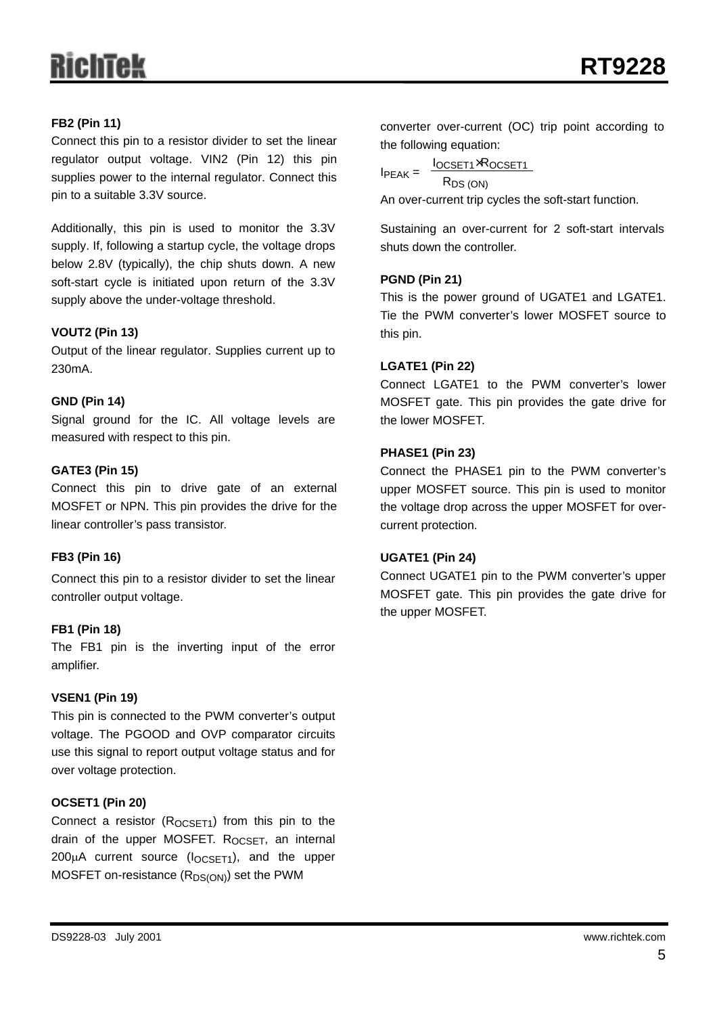#### **FB2 (Pin 11)**

Connect this pin to a resistor divider to set the linear regulator output voltage. VIN2 (Pin 12) this pin supplies power to the internal regulator. Connect this pin to a suitable 3.3V source.

Additionally, this pin is used to monitor the 3.3V supply. If, following a startup cycle, the voltage drops below 2.8V (typically), the chip shuts down. A new soft-start cycle is initiated upon return of the 3.3V supply above the under-voltage threshold.

#### **VOUT2 (Pin 13)**

Output of the linear regulator. Supplies current up to 230mA.

#### **GND (Pin 14)**

Signal ground for the IC. All voltage levels are measured with respect to this pin.

#### **GATE3 (Pin 15)**

Connect this pin to drive gate of an external MOSFET or NPN. This pin provides the drive for the linear controller's pass transistor.

#### **FB3 (Pin 16)**

Connect this pin to a resistor divider to set the linear controller output voltage.

#### **FB1 (Pin 18)**

The FB1 pin is the inverting input of the error amplifier.

#### **VSEN1 (Pin 19)**

This pin is connected to the PWM converter's output voltage. The PGOOD and OVP comparator circuits use this signal to report output voltage status and for over voltage protection.

#### **OCSET1 (Pin 20)**

Connect a resistor  $(R_{OCSET1})$  from this pin to the drain of the upper MOSFET. R<sub>OCSET</sub>, an internal  $200\mu$ A current source ( $I_{OCSET1}$ ), and the upper MOSFET on-resistance  $(R_{DS(ON)})$  set the PWM

converter over-current (OC) trip point according to the following equation:

 $I_{PEAK} = \frac{I_{OCSET1} \times R_{OCSET1}}{R_{DS (ON)}}$ 

An over-current trip cycles the soft-start function.

Sustaining an over-current for 2 soft-start intervals shuts down the controller.

#### **PGND (Pin 21)**

This is the power ground of UGATE1 and LGATE1. Tie the PWM converter's lower MOSFET source to this pin.

#### **LGATE1 (Pin 22)**

Connect LGATE1 to the PWM converter's lower MOSFET gate. This pin provides the gate drive for the lower MOSFET.

#### **PHASE1 (Pin 23)**

Connect the PHASE1 pin to the PWM converter's upper MOSFET source. This pin is used to monitor the voltage drop across the upper MOSFET for overcurrent protection.

#### **UGATE1 (Pin 24)**

Connect UGATE1 pin to the PWM converter's upper MOSFET gate. This pin provides the gate drive for the upper MOSFET.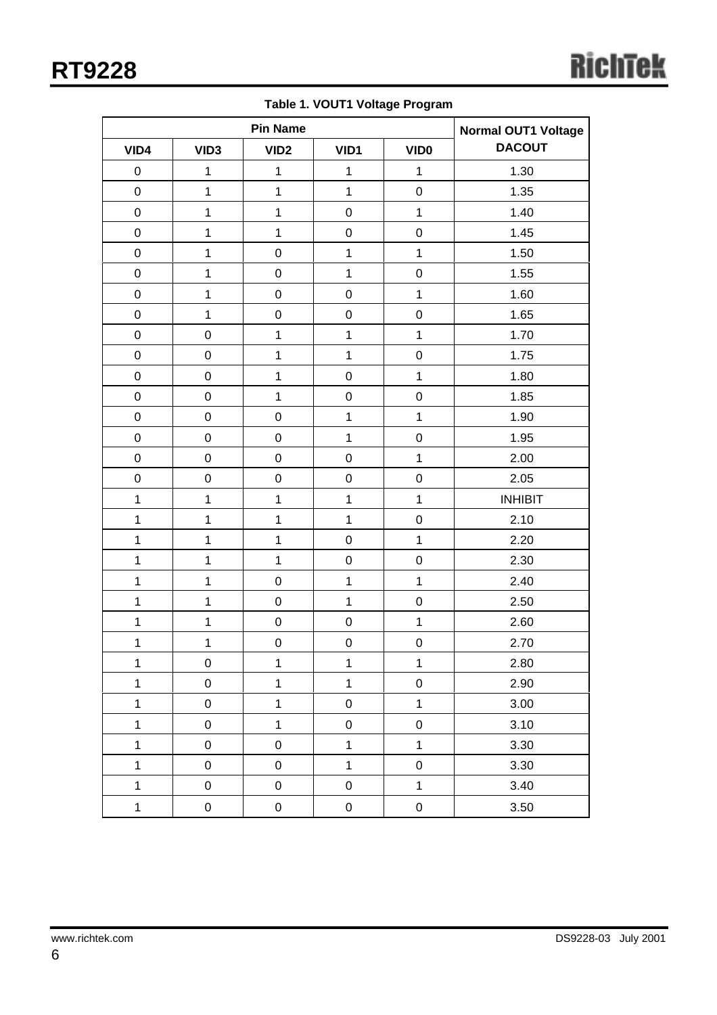|              |                  | <b>Normal OUT1 Voltage</b> |              |                  |                |
|--------------|------------------|----------------------------|--------------|------------------|----------------|
| VID4         | VID <sub>3</sub> | VID <sub>2</sub>           | VID1         | <b>VIDO</b>      | <b>DACOUT</b>  |
| $\pmb{0}$    | $\mathbf{1}$     | $\mathbf{1}$               | $\mathbf{1}$ | $\mathbf{1}$     | 1.30           |
| $\pmb{0}$    | $\overline{1}$   | $\overline{1}$             | $\mathbf 1$  | $\mathsf 0$      | 1.35           |
| $\pmb{0}$    | $\mathbf{1}$     | $\mathbf 1$                | $\pmb{0}$    | $\mathbf 1$      | 1.40           |
| $\pmb{0}$    | $\mathbf{1}$     | $\mathbf 1$                | $\,0\,$      | $\pmb{0}$        | 1.45           |
| $\pmb{0}$    | $\mathbf 1$      | $\pmb{0}$                  | $\mathbf 1$  | $\mathbf{1}$     | 1.50           |
| $\pmb{0}$    | $\mathbf 1$      | $\pmb{0}$                  | $\mathbf 1$  | $\pmb{0}$        | 1.55           |
| $\pmb{0}$    | $\mathbf 1$      | $\pmb{0}$                  | $\pmb{0}$    | $\mathbf 1$      | 1.60           |
| $\pmb{0}$    | $\mathbf{1}$     | $\pmb{0}$                  | $\pmb{0}$    | $\pmb{0}$        | 1.65           |
| $\pmb{0}$    | $\pmb{0}$        | $\mathbf{1}$               | $\mathbf{1}$ | $\mathbf 1$      | 1.70           |
| $\pmb{0}$    | $\pmb{0}$        | $\mathbf{1}$               | $\mathbf 1$  | $\mathbf 0$      | 1.75           |
| $\pmb{0}$    | $\mathbf 0$      | $\mathbf{1}$               | $\pmb{0}$    | $\mathbf{1}$     | 1.80           |
| $\pmb{0}$    | $\pmb{0}$        | $\mathbf{1}$               | $\pmb{0}$    | $\mathbf 0$      | 1.85           |
| $\pmb{0}$    | $\mathbf 0$      | $\mathbf 0$                | $\mathbf 1$  | $\mathbf 1$      | 1.90           |
| $\pmb{0}$    | $\pmb{0}$        | $\pmb{0}$                  | $\mathbf 1$  | $\mathbf 0$      | 1.95           |
| $\pmb{0}$    | $\pmb{0}$        | $\pmb{0}$                  | $\pmb{0}$    | $\mathbf 1$      | 2.00           |
| $\pmb{0}$    | $\mathbf 0$      | $\pmb{0}$                  | $\pmb{0}$    | $\boldsymbol{0}$ | 2.05           |
| $\mathbf 1$  | $\mathbf 1$      | $\mathbf{1}$               | $\mathbf 1$  | $\mathbf{1}$     | <b>INHIBIT</b> |
| $\mathbf{1}$ | $\mathbf{1}$     | $\mathbf{1}$               | $\mathbf{1}$ | $\pmb{0}$        | 2.10           |
| $\mathbf 1$  | $\mathbf 1$      | $\mathbf 1$                | $\pmb{0}$    | $\mathbf 1$      | 2.20           |
| $\mathbf 1$  | $\mathbf 1$      | $\mathbf{1}$               | $\pmb{0}$    | $\pmb{0}$        | 2.30           |
| $\mathbf{1}$ | $\mathbf 1$      | $\pmb{0}$                  | $\mathbf{1}$ | $\mathbf 1$      | 2.40           |
| $\mathbf{1}$ | $\mathbf 1$      | $\pmb{0}$                  | $\mathbf{1}$ | $\mathbf 0$      | 2.50           |
| $\mathbf 1$  | $\ddagger$       | $\pmb{0}$                  | $\pmb{0}$    | $\mathbf 1$      | 2.60           |
| $\mathbf 1$  | $\mathbf 1$      | $\mathbf 0$                | 0            | $\mathbf 0$      | 2.70           |
| $\mathbf 1$  | $\mathbf 0$      | $\mathbf 1$                | $\mathbf 1$  | $\mathbf 1$      | 2.80           |
| $\mathbf 1$  | $\mathbf 0$      | $\mathbf 1$                | $\mathbf{1}$ | $\mathbf 0$      | 2.90           |
| $\mathbf{1}$ | $\pmb{0}$        | $\mathbf 1$                | $\pmb{0}$    | $\mathbf 1$      | 3.00           |
| $\mathbf 1$  | $\mathbf 0$      | $\mathbf{1}$               | $\pmb{0}$    | $\mathbf 0$      | 3.10           |
| $\mathbf{1}$ | $\pmb{0}$        | $\pmb{0}$                  | $\mathbf 1$  | $\mathbf 1$      | 3.30           |
| $\mathbf{1}$ | $\mathbf 0$      | $\pmb{0}$                  | $\mathbf{1}$ | $\pmb{0}$        | 3.30           |
| $\mathbf 1$  | $\pmb{0}$        | $\pmb{0}$                  | $\pmb{0}$    | $\mathbf 1$      | 3.40           |
| $\mathbf 1$  | $\mathbf 0$      | $\pmb{0}$                  | $\pmb{0}$    | $\mathbf 0$      | 3.50           |

**Table 1. VOUT1 Voltage Program**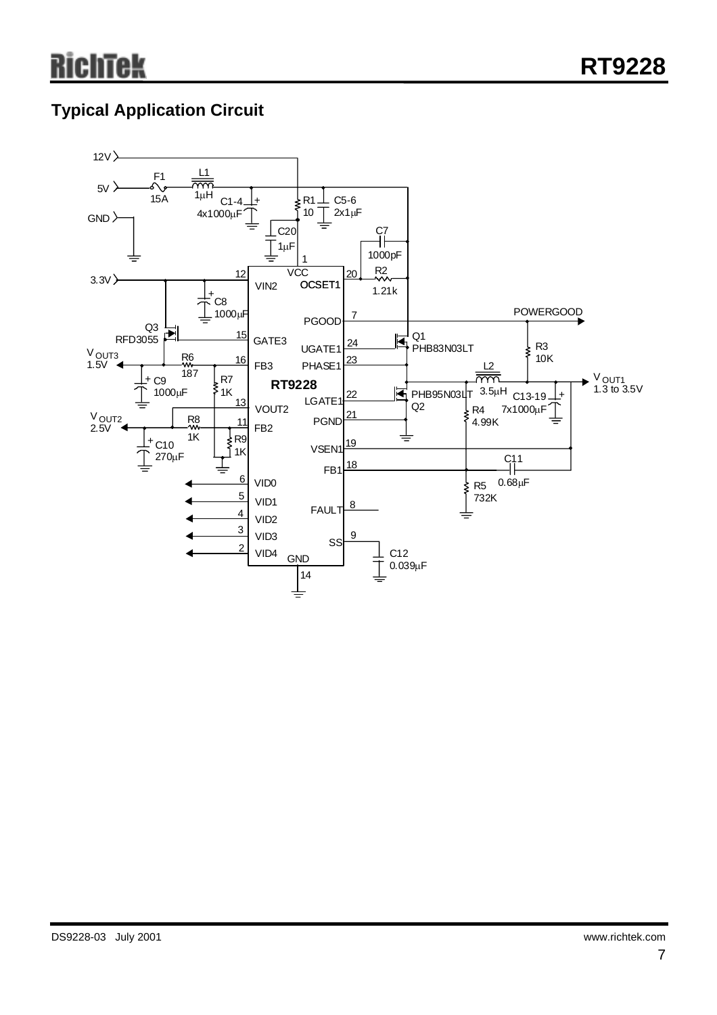## **Typical Application Circuit**

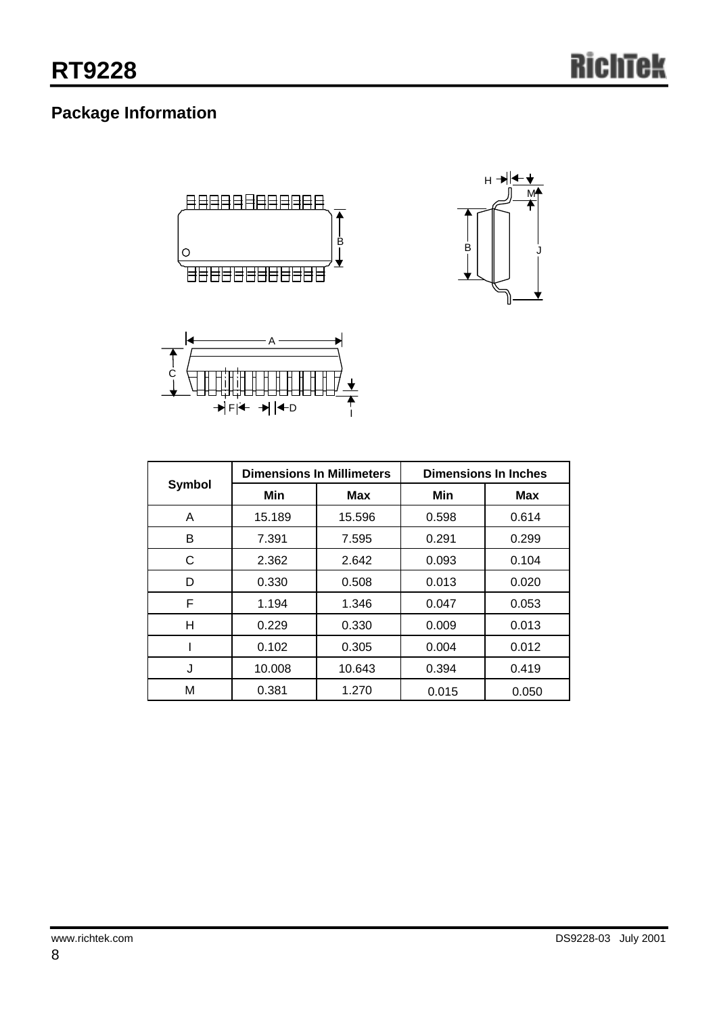## **Package Information**





|               |        | <b>Dimensions In Millimeters</b> | <b>Dimensions In Inches</b> |            |  |
|---------------|--------|----------------------------------|-----------------------------|------------|--|
| <b>Symbol</b> | Min    | <b>Max</b>                       | Min                         | <b>Max</b> |  |
| A             | 15.189 | 15.596                           | 0.598                       | 0.614      |  |
| B             | 7.391  | 7.595                            | 0.291                       | 0.299      |  |
| С             | 2.362  | 2.642                            | 0.093                       | 0.104      |  |
| D             | 0.330  | 0.508                            | 0.013                       | 0.020      |  |
| F             | 1.194  | 1.346                            | 0.047                       | 0.053      |  |
| Н             | 0.229  | 0.330                            | 0.009                       | 0.013      |  |
|               | 0.102  | 0.305                            | 0.004                       | 0.012      |  |
| J             | 10.008 | 10.643                           | 0.394                       | 0.419      |  |
| M             | 0.381  | 1.270                            | 0.015                       | 0.050      |  |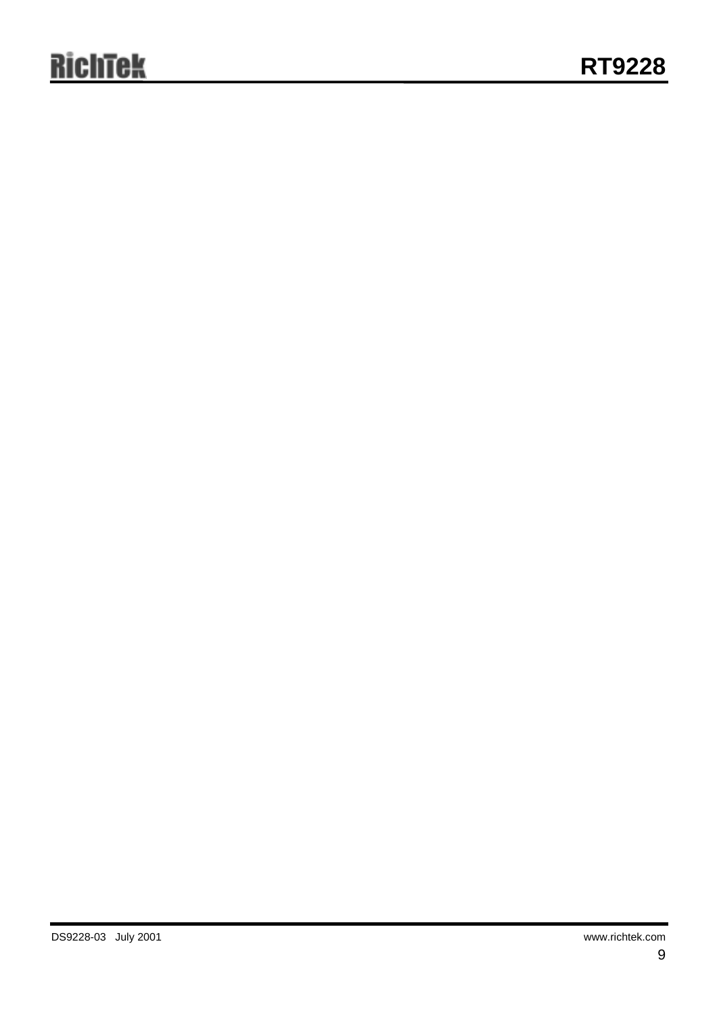## **RichTek**